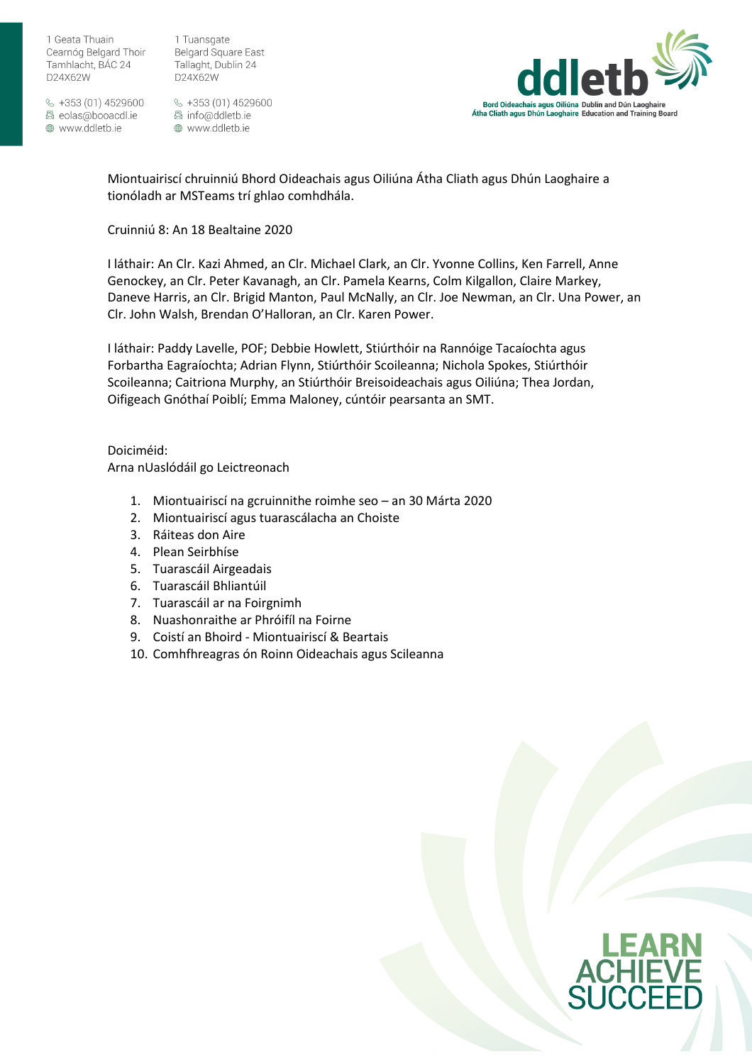1 Tuansgate **Belgard Square East** Tallaght, Dublin 24 D24X62W

 $\frac{1}{2}$  +353 (01) 4529600 圆 eolas@booacdl.ie ⊕ www.ddletb.ie

§ +353 (01) 4529600 圆 info@ddletb.ie ⊕ www.ddletb.ie



Miontuairiscí chruinniú Bhord Oideachais agus Oiliúna Átha Cliath agus Dhún Laoghaire a tionóladh ar MSTeams trí ghlao comhdhála.

## Cruinniú 8: An 18 Bealtaine 2020

I láthair: An Clr. Kazi Ahmed, an Clr. Michael Clark, an Clr. Yvonne Collins, Ken Farrell, Anne Genockey, an Clr. Peter Kavanagh, an Clr. Pamela Kearns, Colm Kilgallon, Claire Markey, Daneve Harris, an Clr. Brigid Manton, Paul McNally, an Clr. Joe Newman, an Clr. Una Power, an Clr. John Walsh, Brendan O'Halloran, an Clr. Karen Power.

I láthair: Paddy Lavelle, POF; Debbie Howlett, Stiúrthóir na Rannóige Tacaíochta agus Forbartha Eagraíochta; Adrian Flynn, Stiúrthóir Scoileanna; Nichola Spokes, Stiúrthóir Scoileanna; Caitriona Murphy, an Stiúrthóir Breisoideachais agus Oiliúna; Thea Jordan, Oifigeach Gnóthaí Poiblí; Emma Maloney, cúntóir pearsanta an SMT.

Doiciméid: Arna nUaslódáil go Leictreonach

- 1. Miontuairiscí na gcruinnithe roimhe seo an 30 Márta 2020
- 2. Miontuairiscí agus tuarascálacha an Choiste
- 3. Ráiteas don Aire
- 4. Plean Seirbhíse
- 5. Tuarascáil Airgeadais
- 6. Tuarascáil Bhliantúil
- 7. Tuarascáil ar na Foirgnimh
- 8. Nuashonraithe ar Phróifíl na Foirne
- 9. Coistí an Bhoird Miontuairiscí & Beartais
- 10. Comhfhreagras ón Roinn Oideachais agus Scileanna

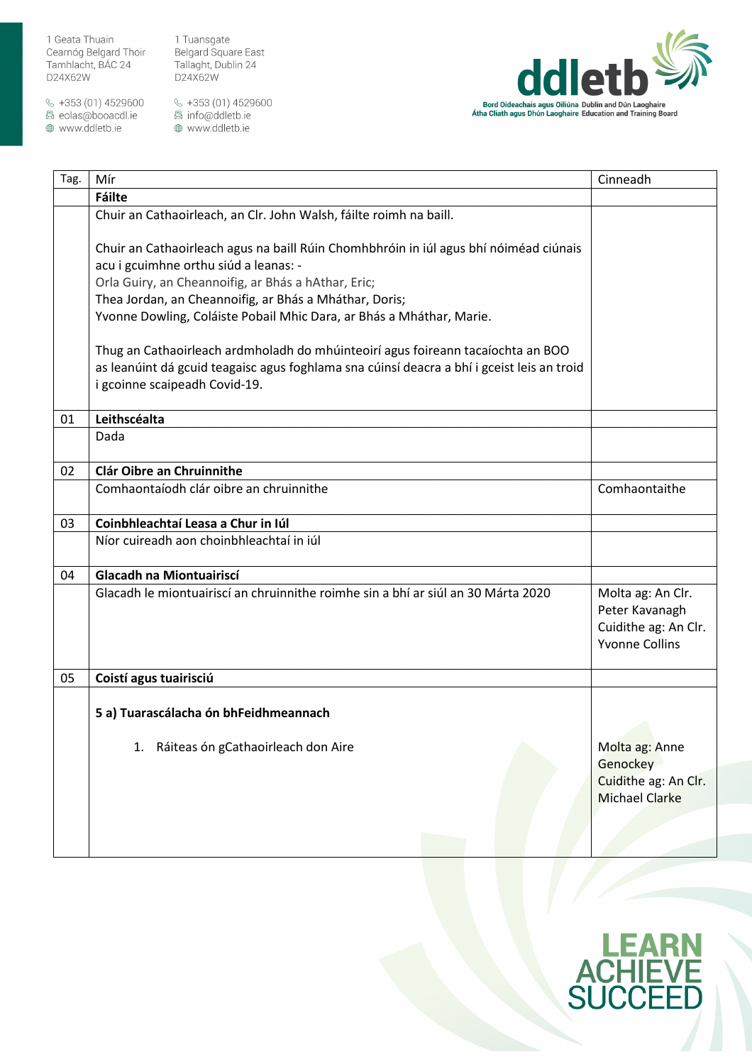$\&$  +353 (01) 4529600 圆 eolas@booacdl.ie

www.ddletb.ie

1 Tuansgate Belgard Square East Tallaght, Dublin 24 D24X62W



| Tag. | Mír                                                                                                                            | Cinneadh                                      |
|------|--------------------------------------------------------------------------------------------------------------------------------|-----------------------------------------------|
|      | Fáilte                                                                                                                         |                                               |
|      | Chuir an Cathaoirleach, an Clr. John Walsh, fáilte roimh na baill.                                                             |                                               |
|      | Chuir an Cathaoirleach agus na baill Rúin Chomhbhróin in iúl agus bhí nóiméad ciúnais                                          |                                               |
|      | acu i gcuimhne orthu siúd a leanas: -                                                                                          |                                               |
|      | Orla Guiry, an Cheannoifig, ar Bhás a hAthar, Eric;                                                                            |                                               |
|      | Thea Jordan, an Cheannoifig, ar Bhás a Mháthar, Doris;<br>Yvonne Dowling, Coláiste Pobail Mhic Dara, ar Bhás a Mháthar, Marie. |                                               |
|      |                                                                                                                                |                                               |
|      | Thug an Cathaoirleach ardmholadh do mhúinteoirí agus foireann tacaíochta an BOO                                                |                                               |
|      | as leanúint dá gcuid teagaisc agus foghlama sna cúinsí deacra a bhí i gceist leis an troid                                     |                                               |
|      | i gcoinne scaipeadh Covid-19.                                                                                                  |                                               |
|      |                                                                                                                                |                                               |
| 01   | Leithscéalta                                                                                                                   |                                               |
|      | Dada                                                                                                                           |                                               |
| 02   | Clár Oibre an Chruinnithe                                                                                                      |                                               |
|      | Comhaontaíodh clár oibre an chruinnithe                                                                                        | Comhaontaithe                                 |
|      |                                                                                                                                |                                               |
| 03   | Coinbhleachtaí Leasa a Chur in Iúl                                                                                             |                                               |
|      | Níor cuireadh aon choinbhleachtaí in iúl                                                                                       |                                               |
| 04   | <b>Glacadh na Miontuairiscí</b>                                                                                                |                                               |
|      | Glacadh le miontuairiscí an chruinnithe roimhe sin a bhí ar siúl an 30 Márta 2020                                              | Molta ag: An Clr.<br>Peter Kavanagh           |
|      |                                                                                                                                | Cuidithe ag: An Clr.                          |
|      |                                                                                                                                | <b>Yvonne Collins</b>                         |
|      |                                                                                                                                |                                               |
| 05   | Coistí agus tuairisciú                                                                                                         |                                               |
|      | 5 a) Tuarascálacha ón bhFeidhmeannach                                                                                          |                                               |
|      |                                                                                                                                |                                               |
|      | 1. Ráiteas ón gCathaoirleach don Aire                                                                                          | Molta ag: Anne                                |
|      |                                                                                                                                | Genockey                                      |
|      |                                                                                                                                | Cuidithe ag: An Clr.<br><b>Michael Clarke</b> |
|      |                                                                                                                                |                                               |
|      |                                                                                                                                |                                               |
|      |                                                                                                                                |                                               |

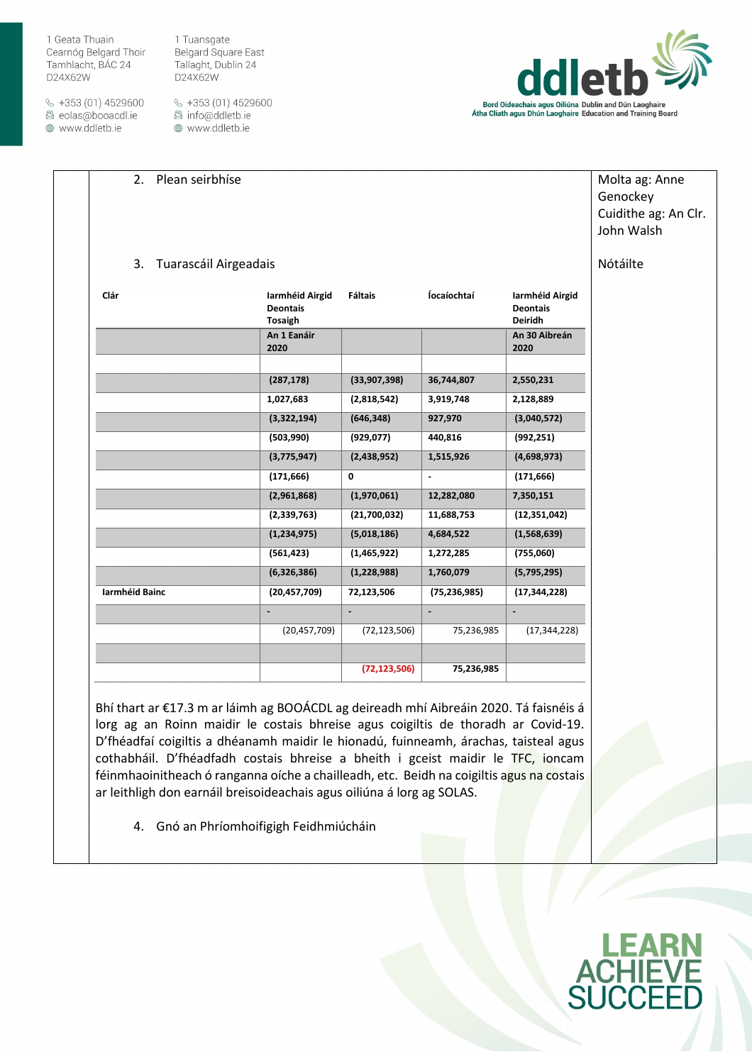$\&$  +353 (01) 4529600 圆 eolas@booacdl.ie

⊕ www.ddletb.ie

1 Tuansgate **Belgard Square East** Tallaght, Dublin 24 D24X62W

§ +353 (01) 4529600 圆 info@ddletb.ie ⊕ www.ddletb.ie



| 2. Plean seirbhíse       |                                               |                |                          |                                                      | Molta ag: Anne<br>Genockey<br>Cuidithe ag: An Clr.<br>John Walsh |
|--------------------------|-----------------------------------------------|----------------|--------------------------|------------------------------------------------------|------------------------------------------------------------------|
| 3. Tuarascáil Airgeadais |                                               |                |                          |                                                      | Nótáilte                                                         |
| Clár                     | Iarmhéid Airgid<br><b>Deontais</b><br>Tosaigh | <b>Fáltais</b> | Íocaíochtaí              | Iarmhéid Airgid<br><b>Deontais</b><br><b>Deiridh</b> |                                                                  |
|                          | An 1 Eanáir<br>2020                           |                |                          | An 30 Aibreán<br>2020                                |                                                                  |
|                          | (287, 178)                                    | (33,907,398)   | 36,744,807               | 2,550,231                                            |                                                                  |
|                          | 1,027,683                                     | (2,818,542)    | 3,919,748                | 2,128,889                                            |                                                                  |
|                          | (3,322,194)                                   | (646, 348)     | 927,970                  | (3,040,572)                                          |                                                                  |
|                          | (503,990)                                     | (929, 077)     | 440,816                  | (992, 251)                                           |                                                                  |
|                          | (3,775,947)                                   | (2,438,952)    | 1,515,926                | (4,698,973)                                          |                                                                  |
|                          | (171, 666)                                    | 0              | $\blacksquare$           | (171, 666)                                           |                                                                  |
|                          | (2,961,868)                                   | (1,970,061)    | 12,282,080               | 7,350,151                                            |                                                                  |
|                          | (2,339,763)                                   | (21,700,032)   | 11,688,753               | (12, 351, 042)                                       |                                                                  |
|                          | (1, 234, 975)                                 | (5,018,186)    | 4,684,522                | (1,568,639)                                          |                                                                  |
|                          | (561, 423)                                    | (1,465,922)    | 1,272,285                | (755,060)                                            |                                                                  |
|                          | (6,326,386)                                   | (1, 228, 988)  | 1,760,079                | (5,795,295)                                          |                                                                  |
| Iarmhéid Bainc           | (20, 457, 709)                                | 72,123,506     | (75, 236, 985)           | (17, 344, 228)                                       |                                                                  |
|                          |                                               | $\blacksquare$ | $\overline{\phantom{a}}$ | $\blacksquare$                                       |                                                                  |

(20,457,709) (72,123,506) 75,236,985 (17,344,228)

**(72,123,506) 75,236,985**

Bhí thart ar €17.3 m ar láimh ag BOOÁCDL ag deireadh mhí Aibreáin 2020. Tá faisnéis á lorg ag an Roinn maidir le costais bhreise agus coigiltis de thoradh ar Covid-19. D'fhéadfaí coigiltis a dhéanamh maidir le hionadú, fuinneamh, árachas, taisteal agus cothabháil. D'fhéadfadh costais bhreise a bheith i gceist maidir le TFC, ioncam féinmhaoinitheach ó ranganna oíche a chailleadh, etc. Beidh na coigiltis agus na costais ar leithligh don earnáil breisoideachais agus oiliúna á lorg ag SOLAS.

4. Gnó an Phríomhoifigigh Feidhmiúcháin

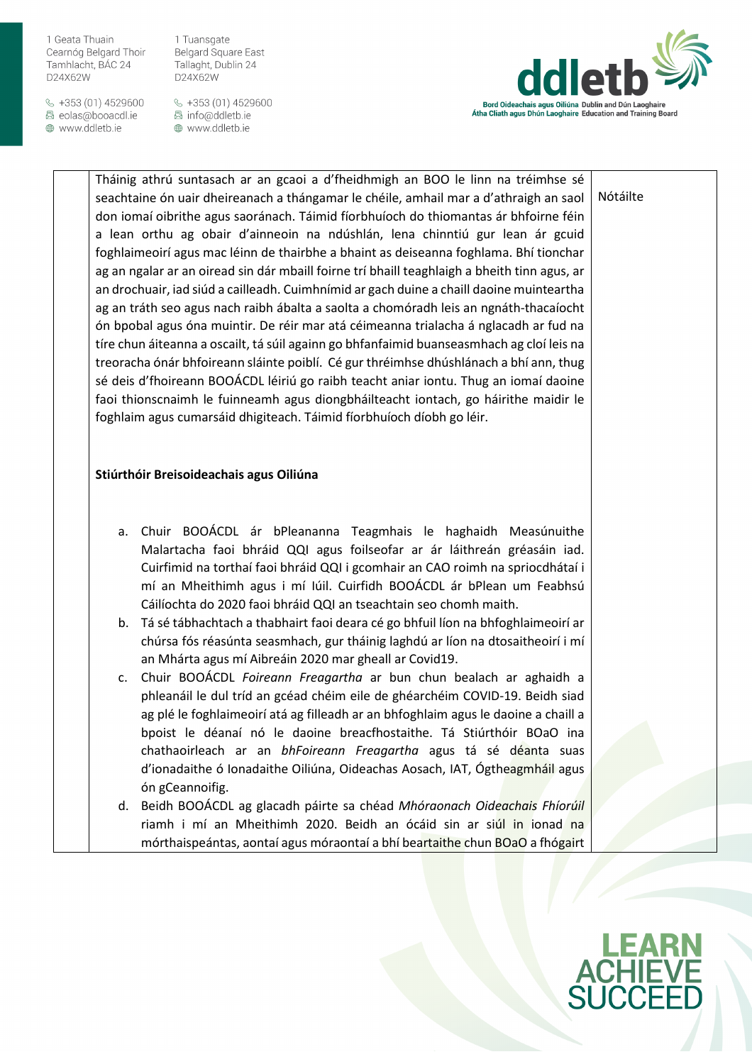$\frac{1}{2}$  +353 (01) 4529600 圆 eolas@booacdl.ie

⊕ www.ddletb.ie

1 Tuansgate **Belgard Square East** Tallaght, Dublin 24 D24X62W

§ +353 (01) 4529600 圆 info@ddletb.ie ⊕ www.ddletb.ie



Nótáilte

Tháinig athrú suntasach ar an gcaoi a d'fheidhmigh an BOO le linn na tréimhse sé seachtaine ón uair dheireanach a thángamar le chéile, amhail mar a d'athraigh an saol don iomaí oibrithe agus saoránach. Táimid fíorbhuíoch do thiomantas ár bhfoirne féin a lean orthu ag obair d'ainneoin na ndúshlán, lena chinntiú gur lean ár gcuid foghlaimeoirí agus mac léinn de thairbhe a bhaint as deiseanna foghlama. Bhí tionchar ag an ngalar ar an oiread sin dár mbaill foirne trí bhaill teaghlaigh a bheith tinn agus, ar an drochuair, iad siúd a cailleadh. Cuimhnímid ar gach duine a chaill daoine muinteartha ag an tráth seo agus nach raibh ábalta a saolta a chomóradh leis an ngnáth-thacaíocht ón bpobal agus óna muintir. De réir mar atá céimeanna trialacha á nglacadh ar fud na tíre chun áiteanna a oscailt, tá súil againn go bhfanfaimid buanseasmhach ag cloí leis na treoracha ónár bhfoireann sláinte poiblí. Cé gur thréimhse dhúshlánach a bhí ann, thug sé deis d'fhoireann BOOÁCDL léiriú go raibh teacht aniar iontu. Thug an iomaí daoine faoi thionscnaimh le fuinneamh agus diongbháilteacht iontach, go háirithe maidir le foghlaim agus cumarsáid dhigiteach. Táimid fíorbhuíoch díobh go léir.

## **Stiúrthóir Breisoideachais agus Oiliúna**

- a. Chuir BOOÁCDL ár bPleananna Teagmhais le haghaidh Measúnuithe Malartacha faoi bhráid QQI agus foilseofar ar ár láithreán gréasáin iad. Cuirfimid na torthaí faoi bhráid QQI i gcomhair an CAO roimh na spriocdhátaí i mí an Mheithimh agus i mí Iúil. Cuirfidh BOOÁCDL ár bPlean um Feabhsú Cáilíochta do 2020 faoi bhráid QQI an tseachtain seo chomh maith.
- b. Tá sé tábhachtach a thabhairt faoi deara cé go bhfuil líon na bhfoghlaimeoirí ar chúrsa fós réasúnta seasmhach, gur tháinig laghdú ar líon na dtosaitheoirí i mí an Mhárta agus mí Aibreáin 2020 mar gheall ar Covid19.
- c. Chuir BOOÁCDL *Foireann Freagartha* ar bun chun bealach ar aghaidh a phleanáil le dul tríd an gcéad chéim eile de ghéarchéim COVID-19. Beidh siad ag plé le foghlaimeoirí atá ag filleadh ar an bhfoghlaim agus le daoine a chaill a bpoist le déanaí nó le daoine breacfhostaithe. Tá Stiúrthóir BOaO ina chathaoirleach ar an *bhFoireann Freagartha* agus tá sé déanta suas d'ionadaithe ó Ionadaithe Oiliúna, Oideachas Aosach, IAT, Ógtheagmháil agus ón gCeannoifig.
- d. Beidh BOOÁCDL ag glacadh páirte sa chéad *Mhóraonach Oideachais Fhíorúil* riamh i mí an Mheithimh 2020. Beidh an ócáid sin ar siúl in ionad na mórthaispeántas, aontaí agus móraontaí a bhí beartaithe chun BOaO a fhógairt

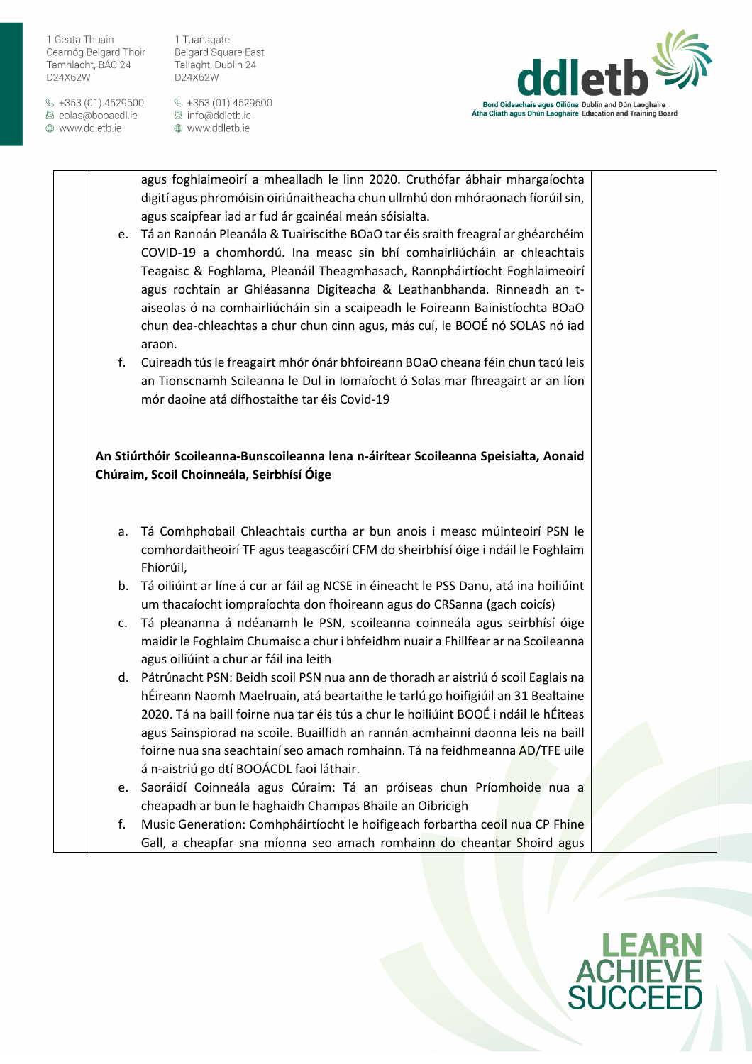$\frac{1}{2}$  +353 (01) 4529600 圆 eolas@booacdl.ie

⊕ www.ddletb.ie

1 Tuansgate **Belgard Square East** Tallaght, Dublin 24 D24X62W

§ +353 (01) 4529600 圆 info@ddletb.ie ⊕ www.ddletb.ie



agus foghlaimeoirí a mhealladh le linn 2020. Cruthófar ábhair mhargaíochta digití agus phromóisin oiriúnaitheacha chun ullmhú don mhóraonach fíorúil sin, agus scaipfear iad ar fud ár gcainéal meán sóisialta.

- e. Tá an Rannán Pleanála & Tuairiscithe BOaO tar éis sraith freagraí ar ghéarchéim COVID-19 a chomhordú. Ina measc sin bhí comhairliúcháin ar chleachtais Teagaisc & Foghlama, Pleanáil Theagmhasach, Rannpháirtíocht Foghlaimeoirí agus rochtain ar Ghléasanna Digiteacha & Leathanbhanda. Rinneadh an taiseolas ó na comhairliúcháin sin a scaipeadh le Foireann Bainistíochta BOaO chun dea-chleachtas a chur chun cinn agus, más cuí, le BOOÉ nó SOLAS nó iad araon.
- f. Cuireadh tús le freagairt mhór ónár bhfoireann BOaO cheana féin chun tacú leis an Tionscnamh Scileanna le Dul in Iomaíocht ó Solas mar fhreagairt ar an líon mór daoine atá dífhostaithe tar éis Covid-19

**An Stiúrthóir Scoileanna-Bunscoileanna lena n-áirítear Scoileanna Speisialta, Aonaid Chúraim, Scoil Choinneála, Seirbhísí Óige**

- a. Tá Comhphobail Chleachtais curtha ar bun anois i measc múinteoirí PSN le comhordaitheoirí TF agus teagascóirí CFM do sheirbhísí óige i ndáil le Foghlaim Fhíorúil,
- b. Tá oiliúint ar líne á cur ar fáil ag NCSE in éineacht le PSS Danu, atá ina hoiliúint um thacaíocht iompraíochta don fhoireann agus do CRSanna (gach coicís)
- c. Tá pleananna á ndéanamh le PSN, scoileanna coinneála agus seirbhísí óige maidir le Foghlaim Chumaisc a chur i bhfeidhm nuair a Fhillfear ar na Scoileanna agus oiliúint a chur ar fáil ina leith
- d. Pátrúnacht PSN: Beidh scoil PSN nua ann de thoradh ar aistriú ó scoil Eaglais na hÉireann Naomh Maelruain, atá beartaithe le tarlú go hoifigiúil an 31 Bealtaine 2020. Tá na baill foirne nua tar éis tús a chur le hoiliúint BOOÉ i ndáil le hÉiteas agus Sainspiorad na scoile. Buailfidh an rannán acmhainní daonna leis na baill foirne nua sna seachtainí seo amach romhainn. Tá na feidhmeanna AD/TFE uile á n-aistriú go dtí BOOÁCDL faoi láthair.
- e. Saoráidí Coinneála agus Cúraim: Tá an próiseas chun Príomhoide nua a cheapadh ar bun le haghaidh Champas Bhaile an Oibricigh
- f. Music Generation: Comhpháirtíocht le hoifigeach forbartha ceoil nua CP Fhine Gall, a cheapfar sna míonna seo amach romhainn do cheantar Shoird agus

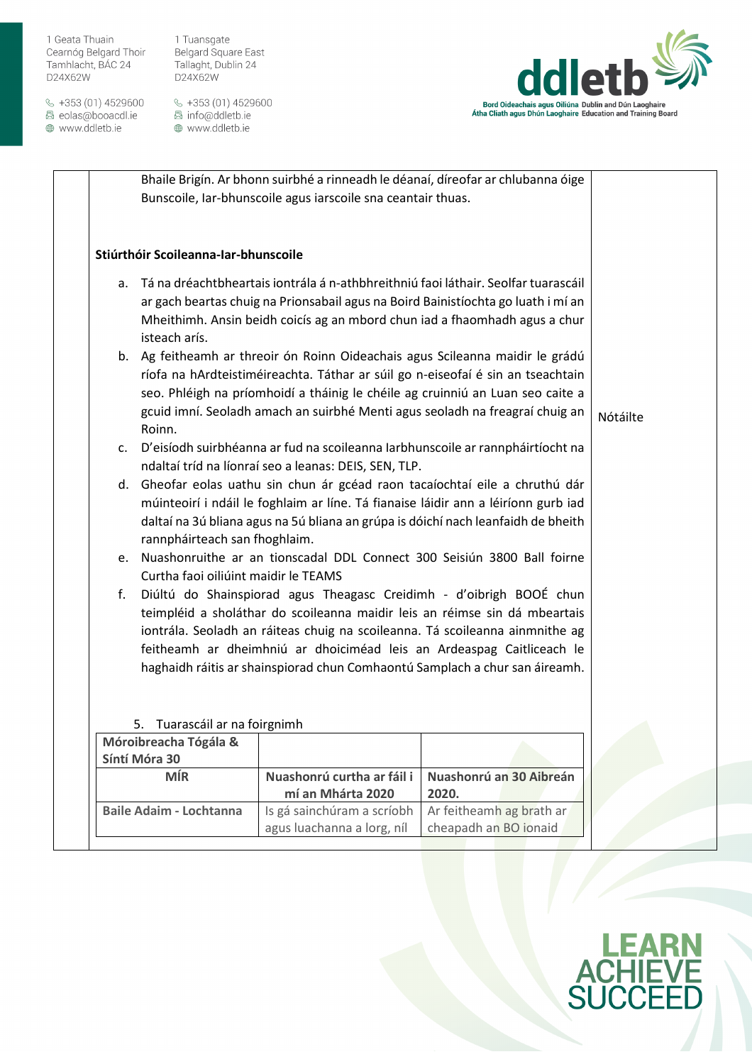$\&$  +353 (01) 4529600 圆 eolas@booacdl.ie

www.ddletb.ie

1 Tuansgate Belgard Square East Tallaght, Dublin 24 D24X62W



|                                                                                                                                                                                                                                                                                                                                                                                                                                         | Bhaile Brigín. Ar bhonn suirbhé a rinneadh le déanaí, díreofar ar chlubanna óige<br>Bunscoile, Iar-bhunscoile agus iarscoile sna ceantair thuas.                                                                                                                                                                                   |                                                   |  |  |  |  |
|-----------------------------------------------------------------------------------------------------------------------------------------------------------------------------------------------------------------------------------------------------------------------------------------------------------------------------------------------------------------------------------------------------------------------------------------|------------------------------------------------------------------------------------------------------------------------------------------------------------------------------------------------------------------------------------------------------------------------------------------------------------------------------------|---------------------------------------------------|--|--|--|--|
| Stiúrthóir Scoileanna-Iar-bhunscoile                                                                                                                                                                                                                                                                                                                                                                                                    |                                                                                                                                                                                                                                                                                                                                    |                                                   |  |  |  |  |
| a.<br>isteach arís.                                                                                                                                                                                                                                                                                                                                                                                                                     | Tá na dréachtbheartais iontrála á n-athbhreithniú faoi láthair. Seolfar tuarascáil<br>ar gach beartas chuig na Prionsabail agus na Boird Bainistíochta go luath i mí an<br>Mheithimh. Ansin beidh coicís ag an mbord chun iad a fhaomhadh agus a chur                                                                              |                                                   |  |  |  |  |
| Roinn.                                                                                                                                                                                                                                                                                                                                                                                                                                  | b. Ag feitheamh ar threoir ón Roinn Oideachais agus Scileanna maidir le grádú<br>ríofa na hArdteistiméireachta. Táthar ar súil go n-eiseofaí é sin an tseachtain<br>seo. Phléigh na príomhoidí a tháinig le chéile ag cruinniú an Luan seo caite a<br>gcuid imní. Seoladh amach an suirbhé Menti agus seoladh na freagraí chuig an | Nótáilte                                          |  |  |  |  |
| $\mathsf{C}$ .                                                                                                                                                                                                                                                                                                                                                                                                                          | D'eisíodh suirbhéanna ar fud na scoileanna Iarbhunscoile ar rannpháirtíocht na<br>ndaltaí tríd na líonraí seo a leanas: DEIS, SEN, TLP.                                                                                                                                                                                            |                                                   |  |  |  |  |
| d. Gheofar eolas uathu sin chun ár gcéad raon tacaíochtaí eile a chruthú dár<br>múinteoirí i ndáil le foghlaim ar líne. Tá fianaise láidir ann a léiríonn gurb iad<br>daltaí na 3ú bliana agus na 5ú bliana an grúpa is dóichí nach leanfaidh de bheith<br>rannpháirteach san fhoghlaim.                                                                                                                                                |                                                                                                                                                                                                                                                                                                                                    |                                                   |  |  |  |  |
|                                                                                                                                                                                                                                                                                                                                                                                                                                         | e. Nuashonruithe ar an tionscadal DDL Connect 300 Seisiún 3800 Ball foirne                                                                                                                                                                                                                                                         |                                                   |  |  |  |  |
| Curtha faoi oiliúint maidir le TEAMS<br>Diúltú do Shainspiorad agus Theagasc Creidimh - d'oibrigh BOOÉ chun<br>f.<br>teimpléid a sholáthar do scoileanna maidir leis an réimse sin dá mbeartais<br>iontrála. Seoladh an ráiteas chuig na scoileanna. Tá scoileanna ainmnithe ag<br>feitheamh ar dheimhniú ar dhoiciméad leis an Ardeaspag Caitliceach le<br>haghaidh ráitis ar shainspiorad chun Comhaontú Samplach a chur san áireamh. |                                                                                                                                                                                                                                                                                                                                    |                                                   |  |  |  |  |
| Tuarascáil ar na foirgnimh<br>5.                                                                                                                                                                                                                                                                                                                                                                                                        |                                                                                                                                                                                                                                                                                                                                    |                                                   |  |  |  |  |
| Móroibreacha Tógála &                                                                                                                                                                                                                                                                                                                                                                                                                   |                                                                                                                                                                                                                                                                                                                                    |                                                   |  |  |  |  |
| Síntí Móra 30                                                                                                                                                                                                                                                                                                                                                                                                                           |                                                                                                                                                                                                                                                                                                                                    |                                                   |  |  |  |  |
| <b>MÍR</b>                                                                                                                                                                                                                                                                                                                                                                                                                              | Nuashonrú curtha ar fáil i<br>mí an Mhárta 2020                                                                                                                                                                                                                                                                                    | Nuashonrú an 30 Aibreán<br>2020.                  |  |  |  |  |
| <b>Baile Adaim - Lochtanna</b>                                                                                                                                                                                                                                                                                                                                                                                                          | Is gá sainchúram a scríobh<br>agus luachanna a lorg, níl                                                                                                                                                                                                                                                                           | Ar feitheamh ag brath ar<br>cheapadh an BO ionaid |  |  |  |  |
|                                                                                                                                                                                                                                                                                                                                                                                                                                         |                                                                                                                                                                                                                                                                                                                                    |                                                   |  |  |  |  |

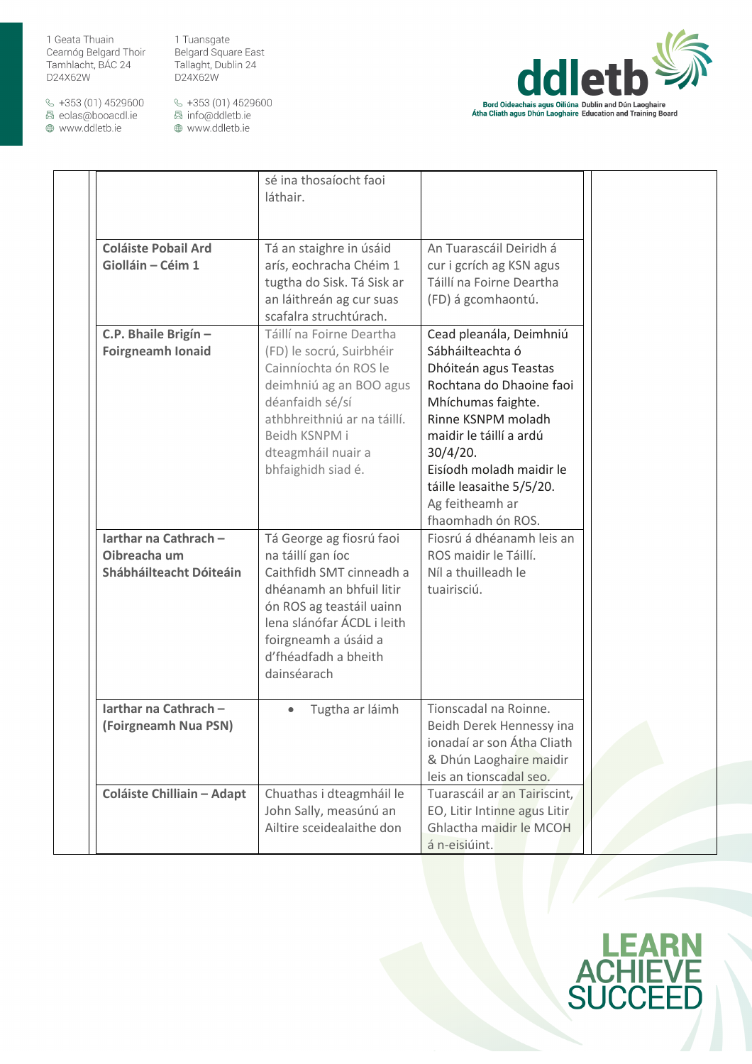1 Tuansgate Belgard Square East Tallaght, Dublin 24 D24X62W

 $\&$  +353 (01) 4529600 圆 eolas@booacdl.ie

www.ddletb.ie



|                                                                  | sé ina thosaíocht faoi<br>láthair.                                                                                                                                                                                             |                                                                                                                                                                                                                                                                                     |  |
|------------------------------------------------------------------|--------------------------------------------------------------------------------------------------------------------------------------------------------------------------------------------------------------------------------|-------------------------------------------------------------------------------------------------------------------------------------------------------------------------------------------------------------------------------------------------------------------------------------|--|
| <b>Coláiste Pobail Ard</b><br>Giolláin - Céim 1                  | Tá an staighre in úsáid<br>arís, eochracha Chéim 1<br>tugtha do Sisk. Tá Sisk ar<br>an láithreán ag cur suas<br>scafalra struchtúrach.                                                                                         | An Tuarascáil Deiridh á<br>cur i gcrích ag KSN agus<br>Táillí na Foirne Deartha<br>(FD) á gcomhaontú.                                                                                                                                                                               |  |
| C.P. Bhaile Brigín -<br><b>Foirgneamh Ionaid</b>                 | Táillí na Foirne Deartha<br>(FD) le socrú, Suirbhéir<br>Cainníochta ón ROS le<br>deimhniú ag an BOO agus<br>déanfaidh sé/sí<br>athbhreithniú ar na táillí.<br>Beidh KSNPM i<br>dteagmháil nuair a<br>bhfaighidh siad é.        | Cead pleanála, Deimhniú<br>Sábháilteachta ó<br>Dhóiteán agus Teastas<br>Rochtana do Dhaoine faoi<br>Mhíchumas faighte.<br>Rinne KSNPM moladh<br>maidir le táillí a ardú<br>30/4/20.<br>Eisíodh moladh maidir le<br>táille leasaithe 5/5/20.<br>Ag feitheamh ar<br>fhaomhadh ón ROS. |  |
| Iarthar na Cathrach -<br>Oibreacha um<br>Shábháilteacht Dóiteáin | Tá George ag fiosrú faoi<br>na táillí gan íoc<br>Caithfidh SMT cinneadh a<br>dhéanamh an bhfuil litir<br>ón ROS ag teastáil uainn<br>lena slánófar ÁCDL i leith<br>foirgneamh a úsáid a<br>d'fhéadfadh a bheith<br>dainséarach | Fiosrú á dhéanamh leis an<br>ROS maidir le Táillí.<br>Níl a thuilleadh le<br>tuairisciú.                                                                                                                                                                                            |  |
| Iarthar na Cathrach -<br>(Foirgneamh Nua PSN)                    | Tugtha ar láimh                                                                                                                                                                                                                | Tionscadal na Roinne.<br>Beidh Derek Hennessy ina<br>ionadaí ar son Átha Cliath<br>& Dhún Laoghaire maidir<br>leis an tionscadal seo.                                                                                                                                               |  |
| <b>Coláiste Chilliain - Adapt</b>                                | Chuathas i dteagmháil le<br>John Sally, measúnú an<br>Ailtire sceidealaithe don                                                                                                                                                | Tuarascáil ar an Tairiscint,<br>EO, Litir Intinne agus Litir<br>Ghlactha maidir le MCOH<br>á n-eisiúint.                                                                                                                                                                            |  |

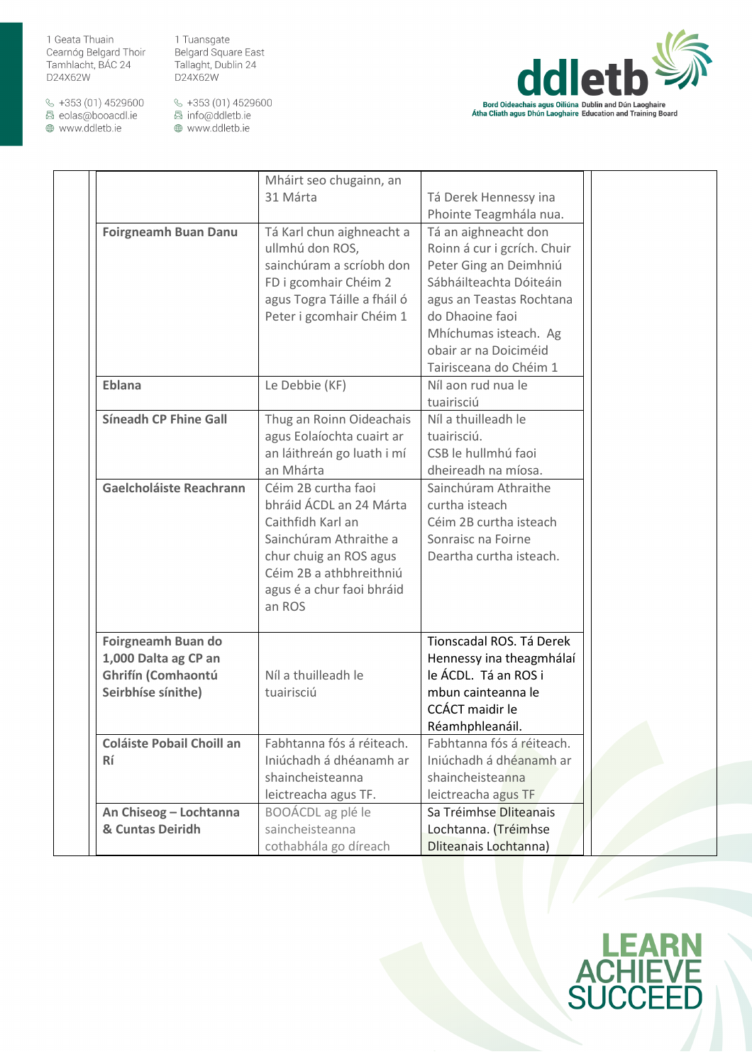1 Tuansgate Belgard Square East Tallaght, Dublin 24 D24X62W

 $\&$  +353 (01) 4529600 圆 eolas@booacdl.ie

www.ddletb.ie



|                                  | Mháirt seo chugainn, an     |                             |  |
|----------------------------------|-----------------------------|-----------------------------|--|
|                                  | 31 Márta                    | Tá Derek Hennessy ina       |  |
|                                  |                             | Phointe Teagmhála nua.      |  |
| <b>Foirgneamh Buan Danu</b>      | Tá Karl chun aighneacht a   | Tá an aighneacht don        |  |
|                                  | ullmhú don ROS,             | Roinn á cur i gcrích. Chuir |  |
|                                  | sainchúram a scríobh don    | Peter Ging an Deimhniú      |  |
|                                  | FD i gcomhair Chéim 2       | Sábháilteachta Dóiteáin     |  |
|                                  | agus Togra Táille a fháil ó | agus an Teastas Rochtana    |  |
|                                  | Peter i gcomhair Chéim 1    | do Dhaoine faoi             |  |
|                                  |                             | Mhíchumas isteach. Ag       |  |
|                                  |                             | obair ar na Doiciméid       |  |
|                                  |                             | Tairisceana do Chéim 1      |  |
| Eblana                           | Le Debbie (KF)              | Níl aon rud nua le          |  |
|                                  |                             | tuairisciú                  |  |
| <b>Síneadh CP Fhine Gall</b>     | Thug an Roinn Oideachais    | Níl a thuilleadh le         |  |
|                                  | agus Eolaíochta cuairt ar   | tuairisciú.                 |  |
|                                  | an láithreán go luath i mí  | CSB le hullmhú faoi         |  |
|                                  | an Mhárta                   | dheireadh na míosa.         |  |
| Gaelcholáiste Reachrann          | Céim 2B curtha faoi         | Sainchúram Athraithe        |  |
|                                  | bhráid ÁCDL an 24 Márta     | curtha isteach              |  |
|                                  | Caithfidh Karl an           | Céim 2B curtha isteach      |  |
|                                  | Sainchúram Athraithe a      | Sonraisc na Foirne          |  |
|                                  | chur chuig an ROS agus      | Deartha curtha isteach.     |  |
|                                  | Céim 2B a athbhreithniú     |                             |  |
|                                  | agus é a chur faoi bhráid   |                             |  |
|                                  | an ROS                      |                             |  |
|                                  |                             |                             |  |
| Foirgneamh Buan do               |                             | Tionscadal ROS. Tá Derek    |  |
| 1,000 Dalta ag CP an             |                             | Hennessy ina theagmhálaí    |  |
| Ghrifín (Comhaontú               | Níl a thuilleadh le         | le ÁCDL. Tá an ROS i        |  |
| Seirbhíse sínithe)               | tuairisciú                  | mbun cainteanna le          |  |
|                                  |                             | CCÁCT maidir le             |  |
|                                  |                             | Réamhphleanáil.             |  |
| <b>Coláiste Pobail Choill an</b> | Fabhtanna fós á réiteach.   | Fabhtanna fós á réiteach.   |  |
| Rí                               | Iniúchadh á dhéanamh ar     | Iniúchadh á dhéanamh ar     |  |
|                                  | shaincheisteanna            | shaincheisteanna            |  |
|                                  | leictreacha agus TF.        | leictreacha agus TF         |  |
| An Chiseog - Lochtanna           | BOOÁCDL ag plé le           | Sa Tréimhse Dliteanais      |  |
| & Cuntas Deiridh                 | saincheisteanna             | Lochtanna. (Tréimhse        |  |
|                                  | cothabhála go díreach       | Dliteanais Lochtanna)       |  |

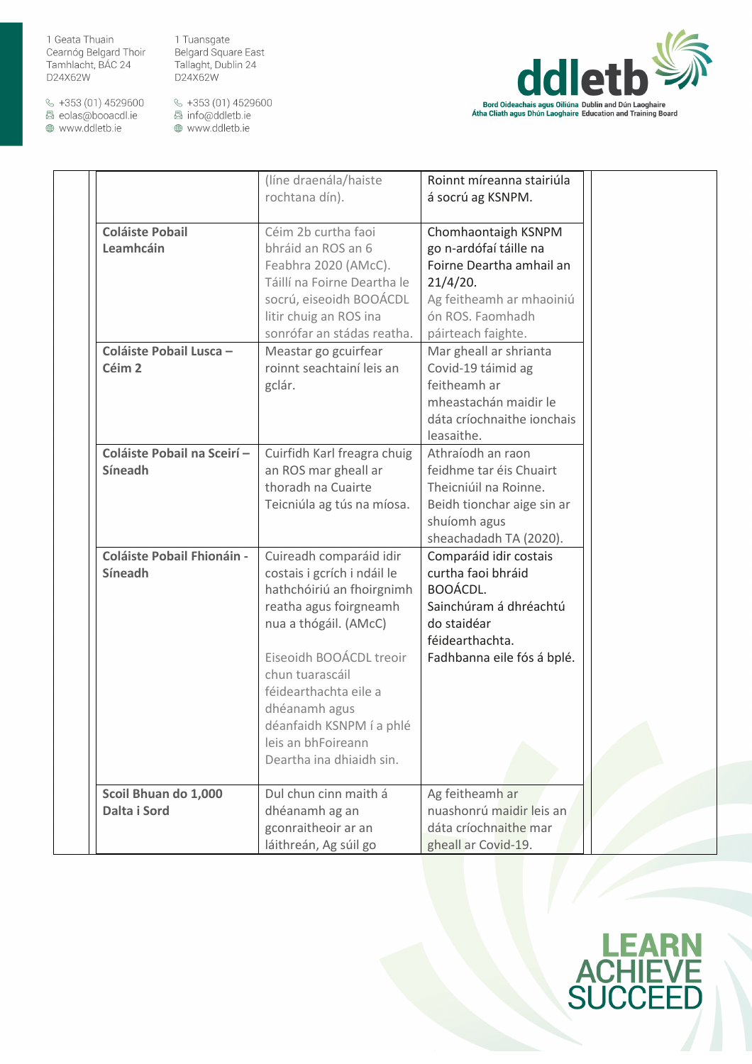1 Tuansgate Belgard Square East Tallaght, Dublin 24 D24X62W

 $\&$  +353 (01) 4529600 圆 eolas@booacdl.ie

www.ddletb.ie



|                                                     | (líne draenála/haiste<br>rochtana dín).                                                                                                                                                                                                                                                                      | Roinnt míreanna stairiúla<br>á socrú ag KSNPM.                                                                                                              |
|-----------------------------------------------------|--------------------------------------------------------------------------------------------------------------------------------------------------------------------------------------------------------------------------------------------------------------------------------------------------------------|-------------------------------------------------------------------------------------------------------------------------------------------------------------|
| <b>Coláiste Pobail</b><br>Leamhcáin                 | Céim 2b curtha faoi<br>bhráid an ROS an 6<br>Feabhra 2020 (AMcC).<br>Táillí na Foirne Deartha le<br>socrú, eiseoidh BOOÁCDL<br>litir chuig an ROS ina<br>sonrófar an stádas reatha.                                                                                                                          | Chomhaontaigh KSNPM<br>go n-ardófaí táille na<br>Foirne Deartha amhail an<br>21/4/20.<br>Ag feitheamh ar mhaoiniú<br>ón ROS. Faomhadh<br>páirteach faighte. |
| Coláiste Pobail Lusca -<br>Céim <sub>2</sub>        | Meastar go gcuirfear<br>roinnt seachtainí leis an<br>gclár.                                                                                                                                                                                                                                                  | Mar gheall ar shrianta<br>Covid-19 táimid ag<br>feitheamh ar<br>mheastachán maidir le<br>dáta críochnaithe ionchais<br>leasaithe.                           |
| Coláiste Pobail na Sceirí-<br>Síneadh               | Cuirfidh Karl freagra chuig<br>an ROS mar gheall ar<br>thoradh na Cuairte<br>Teicniúla ag tús na míosa.                                                                                                                                                                                                      | Athraíodh an raon<br>feidhme tar éis Chuairt<br>Theicniúil na Roinne.<br>Beidh tionchar aige sin ar<br>shuíomh agus<br>sheachadadh TA (2020).               |
| <b>Coláiste Pobail Fhionáin -</b><br><b>Síneadh</b> | Cuireadh comparáid idir<br>costais i gcrích i ndáil le<br>hathchóiriú an fhoirgnimh<br>reatha agus foirgneamh<br>nua a thógáil. (AMcC)<br>Eiseoidh BOOÁCDL treoir<br>chun tuarascáil<br>féidearthachta eile a<br>dhéanamh agus<br>déanfaidh KSNPM í a phlé<br>leis an bhFoireann<br>Deartha ina dhiaidh sin. | Comparáid idir costais<br>curtha faoi bhráid<br>BOOÁCDL.<br>Sainchúram á dhréachtú<br>do staidéar<br>féidearthachta.<br>Fadhbanna eile fós á bplé.          |
| Scoil Bhuan do 1,000<br>Dalta i Sord                | Dul chun cinn maith á<br>dhéanamh ag an                                                                                                                                                                                                                                                                      | Ag feitheamh ar<br>nuashonrú maidir leis an                                                                                                                 |
|                                                     | gconraitheoir ar an<br>láithreán, Ag súil go                                                                                                                                                                                                                                                                 | dáta críochnaithe mar<br>gheall ar Covid-19.                                                                                                                |

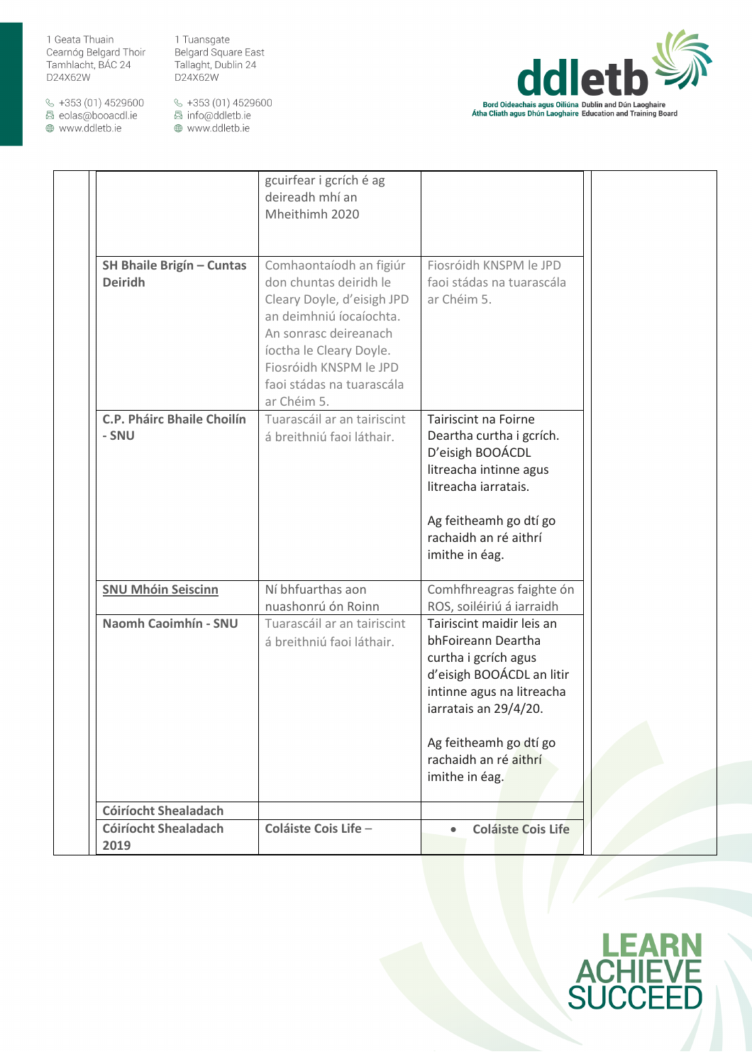1 Tuansgate Belgard Square East Tallaght, Dublin 24 D24X62W

 $\&$  +353 (01) 4529600 圆 eolas@booacdl.ie

www.ddletb.ie



|                                                    | gcuirfear i gcrích é ag<br>deireadh mhí an<br>Mheithimh 2020                                                                                                                                                                         |                                                                                                                                                                                                                                 |
|----------------------------------------------------|--------------------------------------------------------------------------------------------------------------------------------------------------------------------------------------------------------------------------------------|---------------------------------------------------------------------------------------------------------------------------------------------------------------------------------------------------------------------------------|
| <b>SH Bhaile Brigín - Cuntas</b><br><b>Deiridh</b> | Comhaontaíodh an figiúr<br>don chuntas deiridh le<br>Cleary Doyle, d'eisigh JPD<br>an deimhniú íocaíochta.<br>An sonrasc deireanach<br>íoctha le Cleary Doyle.<br>Fiosróidh KNSPM le JPD<br>faoi stádas na tuarascála<br>ar Chéim 5. | Fiosróidh KNSPM le JPD<br>faoi stádas na tuarascála<br>ar Chéim 5.                                                                                                                                                              |
| <b>C.P. Pháirc Bhaile Choilín</b><br>- SNU         | Tuarascáil ar an tairiscint<br>á breithniú faoi láthair.                                                                                                                                                                             | Tairiscint na Foirne<br>Deartha curtha i gcrích.<br>D'eisigh BOOÁCDL<br>litreacha intinne agus<br>litreacha iarratais.<br>Ag feitheamh go dtí go<br>rachaidh an ré aithrí<br>imithe in éag.                                     |
| <b>SNU Mhóin Seiscinn</b>                          | Ní bhfuarthas aon<br>nuashonrú ón Roinn                                                                                                                                                                                              | Comhfhreagras faighte ón<br>ROS, soiléiriú á iarraidh                                                                                                                                                                           |
| Naomh Caoimhín - SNU                               | Tuarascáil ar an tairiscint<br>á breithniú faoi láthair.                                                                                                                                                                             | Tairiscint maidir leis an<br>bhFoireann Deartha<br>curtha i gcrích agus<br>d'eisigh BOOÁCDL an litir<br>intinne agus na litreacha<br>iarratais an 29/4/20.<br>Ag feitheamh go dtí go<br>rachaidh an ré aithrí<br>imithe in éag. |
| <b>Cóiríocht Shealadach</b>                        |                                                                                                                                                                                                                                      |                                                                                                                                                                                                                                 |
| <b>Cóiríocht Shealadach</b><br>2019                | Coláiste Cois Life -                                                                                                                                                                                                                 | <b>Coláiste Cois Life</b>                                                                                                                                                                                                       |

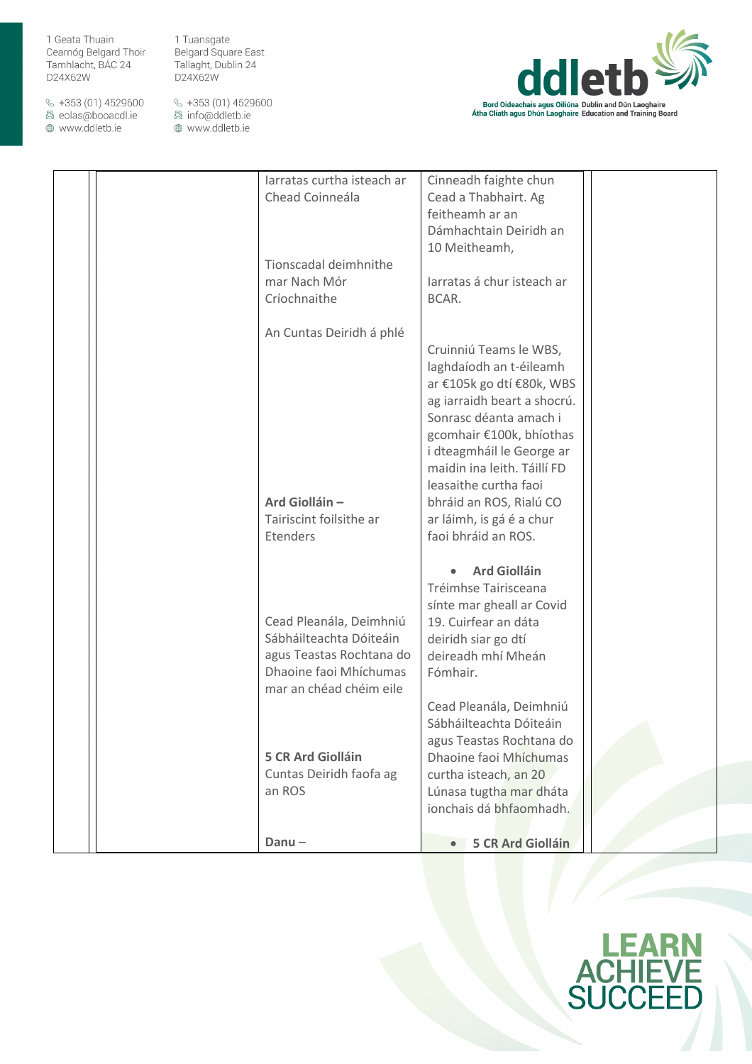$\&$  +353 (01) 4529600 圆 eolas@booacdl.ie

www.ddletb.ie

1 Tuansgate Belgard Square East Tallaght, Dublin 24 D24X62W



| larratas curtha isteach ar | Cinneadh faighte chun       |  |
|----------------------------|-----------------------------|--|
| Chead Coinneála            | Cead a Thabhairt. Ag        |  |
|                            | feitheamh ar an             |  |
|                            | Dámhachtain Deiridh an      |  |
|                            | 10 Meitheamh,               |  |
| Tionscadal deimhnithe      |                             |  |
|                            |                             |  |
| mar Nach Mór               | Jarratas á chur isteach ar  |  |
| Críochnaithe               | BCAR.                       |  |
|                            |                             |  |
| An Cuntas Deiridh á phlé   |                             |  |
|                            | Cruinniú Teams le WBS,      |  |
|                            | laghdaíodh an t-éileamh     |  |
|                            | ar €105k go dtí €80k, WBS   |  |
|                            | ag iarraidh beart a shocrú. |  |
|                            | Sonrasc déanta amach i      |  |
|                            | gcomhair €100k, bhíothas    |  |
|                            | i dteagmháil le George ar   |  |
|                            | maidin ina leith. Táillí FD |  |
|                            |                             |  |
|                            | leasaithe curtha faoi       |  |
| Ard Giolláin -             | bhráid an ROS, Rialú CO     |  |
| Tairiscint foilsithe ar    | ar láimh, is gá é a chur    |  |
| Etenders                   | faoi bhráid an ROS.         |  |
|                            |                             |  |
|                            | <b>Ard Giolláin</b>         |  |
|                            | Tréimhse Tairisceana        |  |
|                            | sínte mar gheall ar Covid   |  |
| Cead Pleanála, Deimhniú    | 19. Cuirfear an dáta        |  |
| Sábháilteachta Dóiteáin    | deiridh siar go dtí         |  |
| agus Teastas Rochtana do   | deireadh mhí Mheán          |  |
| Dhaoine faoi Mhíchumas     | Fómhair.                    |  |
|                            |                             |  |
| mar an chéad chéim eile    |                             |  |
|                            | Cead Pleanála, Deimhniú     |  |
|                            | Sábháilteachta Dóiteáin     |  |
|                            | agus Teastas Rochtana do    |  |
| <b>5 CR Ard Giolláin</b>   | Dhaoine faoi Mhíchumas      |  |
| Cuntas Deiridh faofa ag    | curtha isteach, an 20       |  |
| an ROS                     | Lúnasa tugtha mar dháta     |  |
|                            | ionchais dá bhfaomhadh.     |  |
|                            |                             |  |
| $Danu -$                   | <b>5 CR Ard Giolláin</b>    |  |
|                            |                             |  |

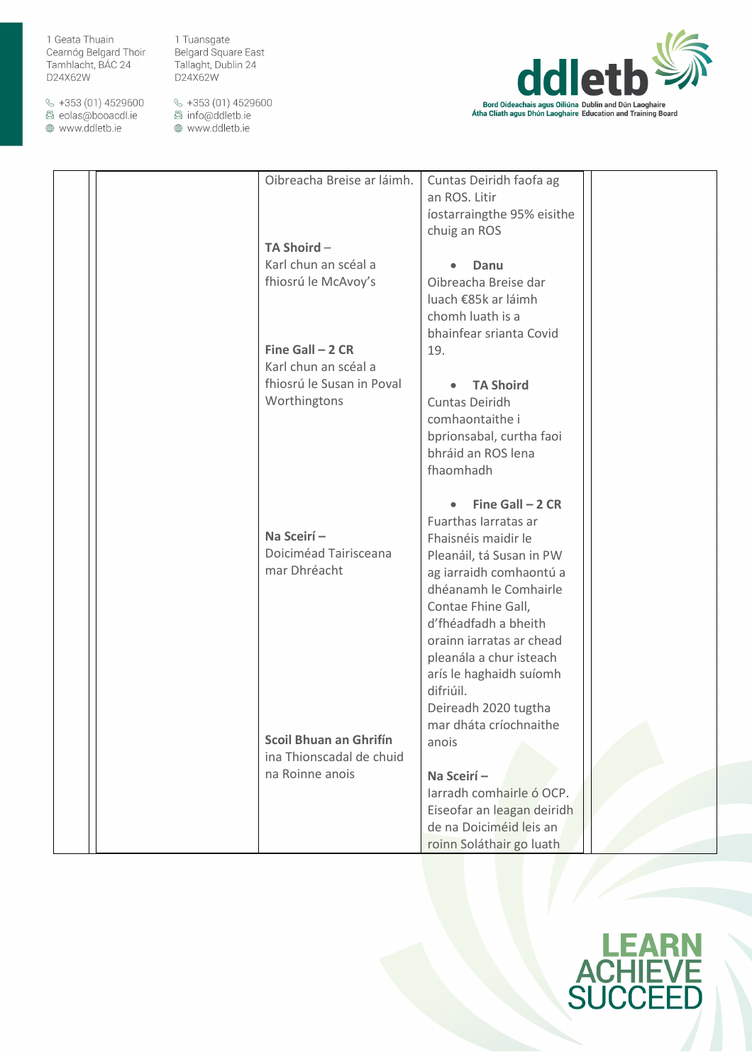$\&$  +353 (01) 4529600 圆 eolas@booacdl.ie

www.ddletb.ie

1 Tuansgate Belgard Square East Tallaght, Dublin 24 D24X62W



|  | Oibreacha Breise ar láimh.    | Cuntas Deiridh faofa ag    |  |
|--|-------------------------------|----------------------------|--|
|  |                               | an ROS. Litir              |  |
|  |                               | íostarraingthe 95% eisithe |  |
|  |                               | chuig an ROS               |  |
|  | TA Shoird-                    |                            |  |
|  | Karl chun an scéal a          | Danu                       |  |
|  | fhiosrú le McAvoy's           | Oibreacha Breise dar       |  |
|  |                               |                            |  |
|  |                               | luach €85k ar láimh        |  |
|  |                               | chomh luath is a           |  |
|  |                               | bhainfear srianta Covid    |  |
|  | Fine Gall $-2$ CR             | 19.                        |  |
|  | Karl chun an scéal a          |                            |  |
|  | fhiosrú le Susan in Poval     | <b>TA Shoird</b>           |  |
|  | Worthingtons                  | Cuntas Deiridh             |  |
|  |                               | comhaontaithe i            |  |
|  |                               | bprionsabal, curtha faoi   |  |
|  |                               | bhráid an ROS lena         |  |
|  |                               | fhaomhadh                  |  |
|  |                               |                            |  |
|  |                               |                            |  |
|  |                               | Fine Gall $-2$ CR          |  |
|  |                               | Fuarthas Iarratas ar       |  |
|  | Na Sceirí-                    | Fhaisnéis maidir le        |  |
|  | Doiciméad Tairisceana         | Pleanáil, tá Susan in PW   |  |
|  | mar Dhréacht                  | ag iarraidh comhaontú a    |  |
|  |                               | dhéanamh le Comhairle      |  |
|  |                               | Contae Fhine Gall,         |  |
|  |                               | d'fhéadfadh a bheith       |  |
|  |                               | orainn iarratas ar chead   |  |
|  |                               | pleanála a chur isteach    |  |
|  |                               |                            |  |
|  |                               | arís le haghaidh suíomh    |  |
|  |                               | difriúil.                  |  |
|  |                               | Deireadh 2020 tugtha       |  |
|  |                               | mar dháta críochnaithe     |  |
|  | <b>Scoil Bhuan an Ghrifín</b> | anois                      |  |
|  | ina Thionscadal de chuid      |                            |  |
|  | na Roinne anois               | Na Sceirí-                 |  |
|  |                               | Jarradh comhairle ó OCP.   |  |
|  |                               | Eiseofar an leagan deiridh |  |
|  |                               | de na Doiciméid leis an    |  |
|  |                               | roinn Soláthair go luath   |  |
|  |                               |                            |  |

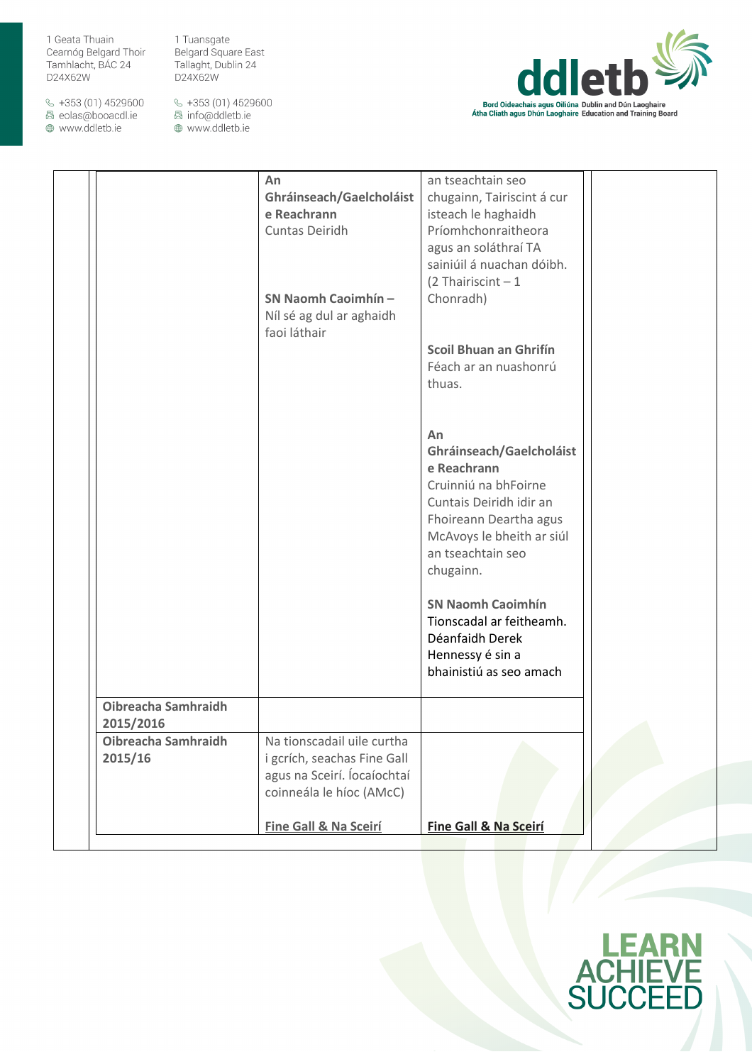$\&$  +353 (01) 4529600 圆 eolas@booacdl.ie

www.ddletb.ie

Belgard Square East Tallaght, Dublin 24 D24X62W

1 Tuansgate



|                                         | An<br>Ghráinseach/Gaelcholáist<br>e Reachrann<br>Cuntas Deiridh<br>SN Naomh Caoimhín -<br>Níl sé ag dul ar aghaidh<br>faoi láthair | an tseachtain seo<br>chugainn, Tairiscint á cur<br>isteach le haghaidh<br>Príomhchonraitheora<br>agus an soláthraí TA<br>sainiúil á nuachan dóibh.<br>$(2)$ Thairiscint - 1<br>Chonradh)<br>Scoil Bhuan an Ghrifín<br>Féach ar an nuashonrú<br>thuas. |  |
|-----------------------------------------|------------------------------------------------------------------------------------------------------------------------------------|-------------------------------------------------------------------------------------------------------------------------------------------------------------------------------------------------------------------------------------------------------|--|
|                                         |                                                                                                                                    | An<br>Ghráinseach/Gaelcholáist<br>e Reachrann<br>Cruinniú na bhFoirne<br>Cuntais Deiridh idir an<br>Fhoireann Deartha agus<br>McAvoys le bheith ar siúl<br>an tseachtain seo<br>chugainn.                                                             |  |
|                                         |                                                                                                                                    | <b>SN Naomh Caoimhín</b><br>Tionscadal ar feitheamh.<br>Déanfaidh Derek<br>Hennessy é sin a<br>bhainistiú as seo amach                                                                                                                                |  |
| <b>Oibreacha Samhraidh</b><br>2015/2016 |                                                                                                                                    |                                                                                                                                                                                                                                                       |  |
| Oibreacha Samhraidh<br>2015/16          | Na tionscadail uile curtha<br>i gcrích, seachas Fine Gall<br>agus na Sceirí. Íocaíochtaí                                           |                                                                                                                                                                                                                                                       |  |
|                                         | coinneála le híoc (AMcC)                                                                                                           |                                                                                                                                                                                                                                                       |  |
|                                         | Fine Gall & Na Sceirí                                                                                                              | Fine Gall & Na Sceirí                                                                                                                                                                                                                                 |  |

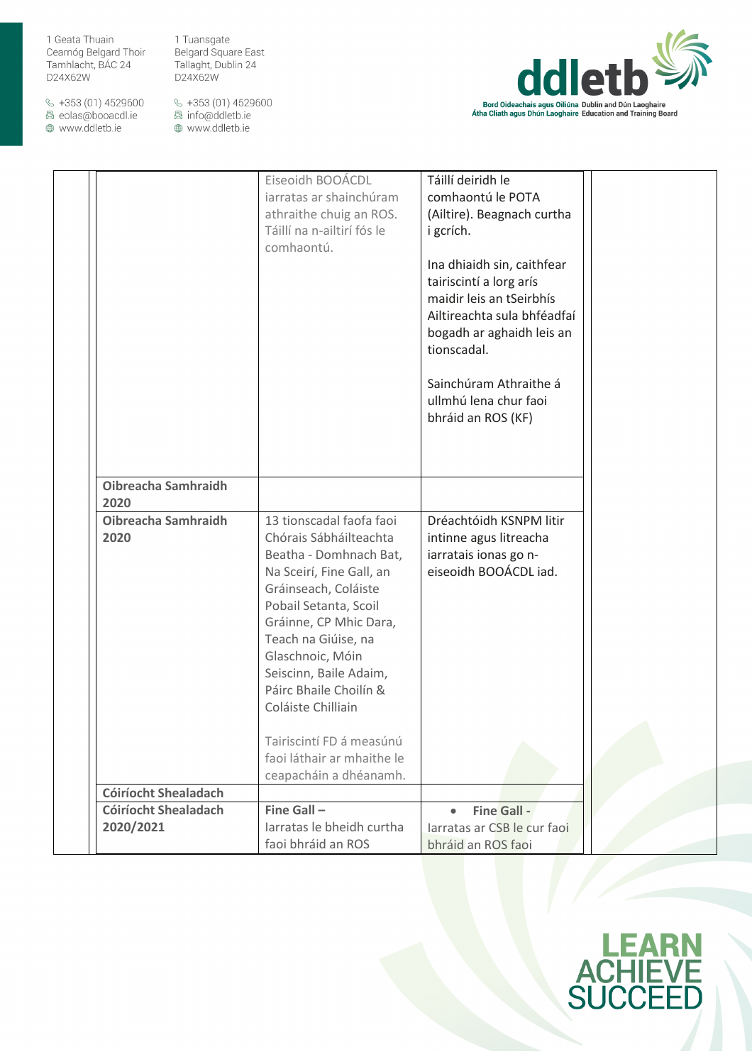$\&$  +353 (01) 4529600 圆 eolas@booacdl.ie

www.ddletb.ie

1 Tuansgate Belgard Square East Tallaght, Dublin 24 D24X62W



|                             | iarratas ar shainchúram<br>athraithe chuig an ROS.<br>Táillí na n-ailtirí fós le<br>comhaontú.                                                                                                                                                                                                                                                                                               | comhaontú le POTA<br>(Ailtire). Beagnach curtha<br>i gcrích.<br>Ina dhiaidh sin, caithfear<br>tairiscintí a lorg arís<br>maidir leis an tSeirbhís<br>Ailtireachta sula bhféadfaí<br>bogadh ar aghaidh leis an<br>tionscadal.<br>Sainchúram Athraithe á<br>ullmhú lena chur faoi<br>bhráid an ROS (KF) |  |
|-----------------------------|----------------------------------------------------------------------------------------------------------------------------------------------------------------------------------------------------------------------------------------------------------------------------------------------------------------------------------------------------------------------------------------------|-------------------------------------------------------------------------------------------------------------------------------------------------------------------------------------------------------------------------------------------------------------------------------------------------------|--|
| Oibreacha Samhraidh<br>2020 |                                                                                                                                                                                                                                                                                                                                                                                              |                                                                                                                                                                                                                                                                                                       |  |
| Oibreacha Samhraidh<br>2020 | 13 tionscadal faofa faoi<br>Chórais Sábháilteachta<br>Beatha - Domhnach Bat,<br>Na Sceirí, Fine Gall, an<br>Gráinseach, Coláiste<br>Pobail Setanta, Scoil<br>Gráinne, CP Mhic Dara,<br>Teach na Giúise, na<br>Glaschnoic, Móin<br>Seiscinn, Baile Adaim,<br>Páirc Bhaile Choilín &<br>Coláiste Chilliain<br>Tairiscintí FD á measúnú<br>faoi láthair ar mhaithe le<br>ceapacháin a dhéanamh. | Dréachtóidh KSNPM litir<br>intinne agus litreacha<br>iarratais ionas go n-<br>eiseoidh BOOÁCDL iad.                                                                                                                                                                                                   |  |
| <b>Cóiríocht Shealadach</b> |                                                                                                                                                                                                                                                                                                                                                                                              |                                                                                                                                                                                                                                                                                                       |  |
| <b>Cóiríocht Shealadach</b> | Fine Gall-                                                                                                                                                                                                                                                                                                                                                                                   | <b>Fine Gall -</b><br>$\bullet$                                                                                                                                                                                                                                                                       |  |
| 2020/2021                   | Jarratas le bheidh curtha<br>faoi bhráid an ROS                                                                                                                                                                                                                                                                                                                                              | larratas ar CSB le cur faoi<br>bhráid an ROS faoi                                                                                                                                                                                                                                                     |  |

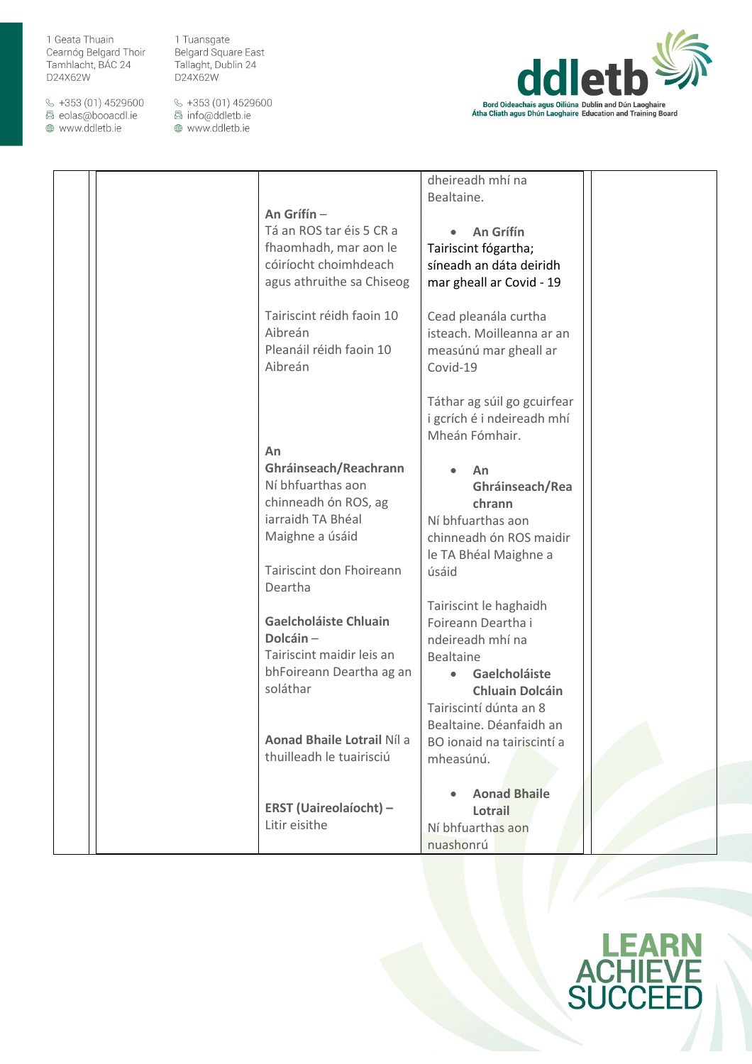$\&$  +353 (01) 4529600 圆 eolas@booacdl.ie

www.ddletb.ie

1 Tuansgate Belgard Square East Tallaght, Dublin 24 D24X62W



|                               | dheireadh mhí na            |  |
|-------------------------------|-----------------------------|--|
|                               | Bealtaine.                  |  |
|                               |                             |  |
| An Grífín -                   |                             |  |
| Tá an ROS tar éis 5 CR a      | An Grífín                   |  |
| fhaomhadh, mar aon le         | Tairiscint fógartha;        |  |
| cóiríocht choimhdeach         | síneadh an dáta deiridh     |  |
| agus athruithe sa Chiseog     | mar gheall ar Covid - 19    |  |
|                               |                             |  |
| Tairiscint réidh faoin 10     | Cead pleanála curtha        |  |
| Aibreán                       | isteach. Moilleanna ar an   |  |
| Pleanáil réidh faoin 10       | measúnú mar gheall ar       |  |
| Aibreán                       | Covid-19                    |  |
|                               |                             |  |
|                               |                             |  |
|                               | Táthar ag súil go gcuirfear |  |
|                               | i gcrích é i ndeireadh mhí  |  |
|                               | Mheán Fómhair.              |  |
| An                            |                             |  |
| Ghráinseach/Reachrann         | An                          |  |
| Ní bhfuarthas aon             | Ghráinseach/Rea             |  |
| chinneadh ón ROS, ag          | chrann                      |  |
| iarraidh TA Bhéal             | Ní bhfuarthas aon           |  |
| Maighne a úsáid               | chinneadh ón ROS maidir     |  |
|                               | le TA Bhéal Maighne a       |  |
| Tairiscint don Fhoireann      | úsáid                       |  |
| Deartha                       |                             |  |
|                               | Tairiscint le haghaidh      |  |
| <b>Gaelcholáiste Chluain</b>  | Foireann Deartha i          |  |
| Dolcáin-                      | ndeireadh mhí na            |  |
| Tairiscint maidir leis an     |                             |  |
|                               | <b>Bealtaine</b>            |  |
| bhFoireann Deartha ag an      | Gaelcholáiste               |  |
| soláthar                      | <b>Chluain Dolcáin</b>      |  |
|                               | Tairiscintí dúnta an 8      |  |
|                               | Bealtaine. Déanfaidh an     |  |
| Aonad Bhaile Lotrail Níl a    | BO ionaid na tairiscintí a  |  |
| thuilleadh le tuairisciú      | mheasúnú.                   |  |
|                               |                             |  |
|                               | <b>Aonad Bhaile</b>         |  |
| <b>ERST (Uaireolaíocht) -</b> | Lotrail                     |  |
| Litir eisithe                 | Ní bhfuarthas aon           |  |
|                               | nuashonrú                   |  |
|                               |                             |  |

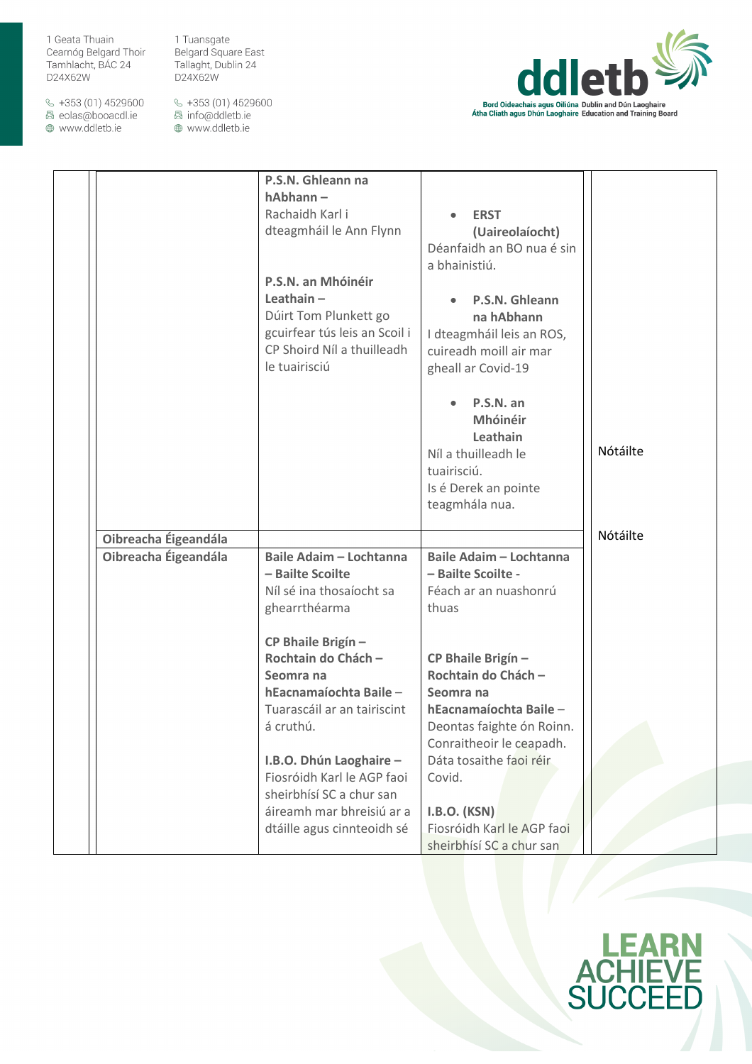$\&$  +353 (01) 4529600 圆 eolas@booacdl.ie

www.ddletb.ie

1 Tuansgate Belgard Square East Tallaght, Dublin 24 D24X62W



|                      | P.S.N. Ghleann na<br>hAbhann-<br>Rachaidh Karl i<br>dteagmháil le Ann Flynn<br>P.S.N. an Mhóinéir<br>Leathain $-$<br>Dúirt Tom Plunkett go<br>gcuirfear tús leis an Scoil i<br>CP Shoird Níl a thuilleadh<br>le tuairisciú                                | <b>ERST</b><br>(Uaireolaíocht)<br>Déanfaidh an BO nua é sin<br>a bhainistiú.<br>P.S.N. Ghleann<br>na hAbhann<br>I dteagmháil leis an ROS,<br>cuireadh moill air mar<br>gheall ar Covid-19<br>P.S.N. an<br>Mhóinéir<br>Leathain<br>Níl a thuilleadh le<br>tuairisciú.<br>Is é Derek an pointe<br>teagmhála nua. | Nótáilte |
|----------------------|-----------------------------------------------------------------------------------------------------------------------------------------------------------------------------------------------------------------------------------------------------------|----------------------------------------------------------------------------------------------------------------------------------------------------------------------------------------------------------------------------------------------------------------------------------------------------------------|----------|
| Oibreacha Éigeandála |                                                                                                                                                                                                                                                           |                                                                                                                                                                                                                                                                                                                | Nótáilte |
| Oibreacha Éigeandála | <b>Baile Adaim - Lochtanna</b><br>- Bailte Scoilte<br>Níl sé ina thosaíocht sa<br>ghearrthéarma<br>CP Bhaile Brigín -<br>Rochtain do Chách -<br>Seomra na<br>hEacnamaíochta Baile-<br>Tuarascáil ar an tairiscint<br>á cruthú.<br>I.B.O. Dhún Laoghaire - | <b>Baile Adaim - Lochtanna</b><br>- Bailte Scoilte -<br>Féach ar an nuashonrú<br>thuas<br>CP Bhaile Brigín -<br>Rochtain do Chách -<br>Seomra na<br>hEacnamaíochta Baile-<br>Deontas faighte ón Roinn.<br>Conraitheoir le ceapadh.<br>Dáta tosaithe faoi réir                                                  |          |
|                      | Fiosróidh Karl le AGP faoi<br>sheirbhísí SC a chur san                                                                                                                                                                                                    | Covid.                                                                                                                                                                                                                                                                                                         |          |
|                      | áireamh mar bhreisiú ar a<br>dtáille agus cinnteoidh sé                                                                                                                                                                                                   | <b>I.B.O. (KSN)</b><br>Fiosróidh Karl le AGP faoi<br>sheirbhísí SC a chur san                                                                                                                                                                                                                                  |          |

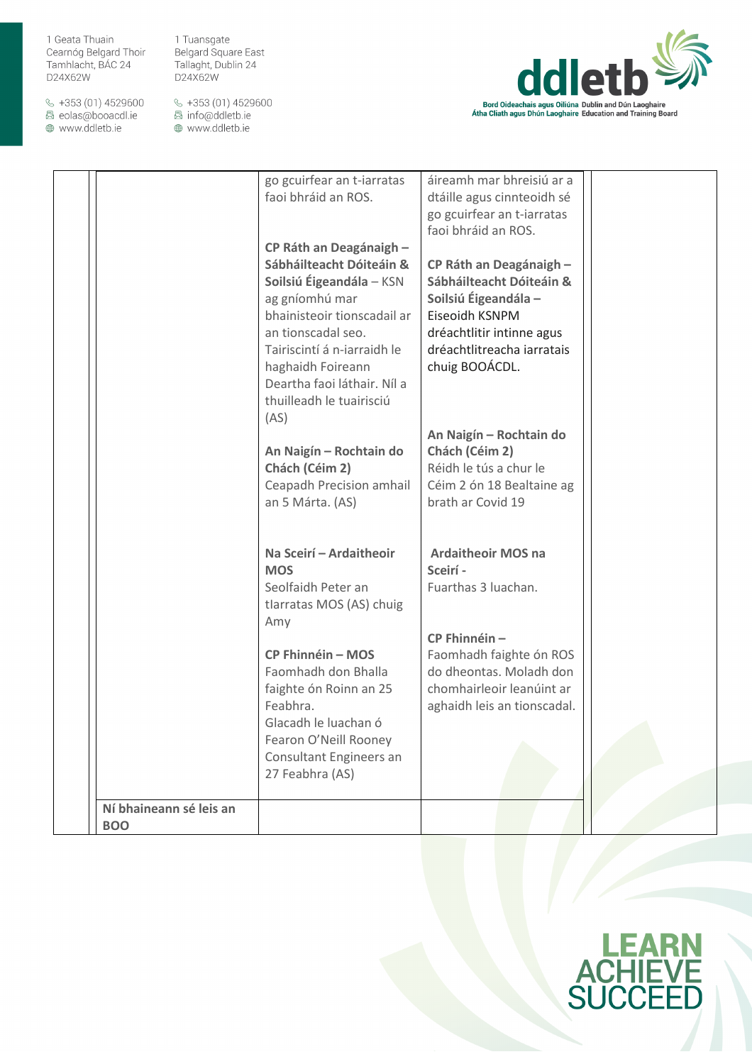$\&$  +353 (01) 4529600 圆 eolas@booacdl.ie

www.ddletb.ie

1 Tuansgate Belgard Square East Tallaght, Dublin 24 D24X62W



|                         | go gcuirfear an t-iarratas<br>faoi bhráid an ROS.<br>CP Ráth an Deagánaigh -<br>Sábháilteacht Dóiteáin &<br>Soilsiú Éigeandála – KSN<br>ag gníomhú mar<br>bhainisteoir tionscadail ar<br>an tionscadal seo.<br>Tairiscintí á n-iarraidh le<br>haghaidh Foireann<br>Deartha faoi láthair. Níl a<br>thuilleadh le tuairisciú<br>(AS)<br>An Naigín - Rochtain do<br>Chách (Céim 2)<br>Ceapadh Precision amhail<br>an 5 Márta. (AS) | áireamh mar bhreisiú ar a<br>dtáille agus cinnteoidh sé<br>go gcuirfear an t-iarratas<br>faoi bhráid an ROS.<br>CP Ráth an Deagánaigh -<br>Sábháilteacht Dóiteáin &<br>Soilsiú Éigeandála -<br>Eiseoidh KSNPM<br>dréachtlitir intinne agus<br>dréachtlitreacha iarratais<br>chuig BOOÁCDL.<br>An Naigín - Rochtain do<br>Chách (Céim 2)<br>Réidh le tús a chur le<br>Céim 2 ón 18 Bealtaine ag<br>brath ar Covid 19 |  |
|-------------------------|---------------------------------------------------------------------------------------------------------------------------------------------------------------------------------------------------------------------------------------------------------------------------------------------------------------------------------------------------------------------------------------------------------------------------------|---------------------------------------------------------------------------------------------------------------------------------------------------------------------------------------------------------------------------------------------------------------------------------------------------------------------------------------------------------------------------------------------------------------------|--|
| Ní bhaineann sé leis an | Na Sceirí - Ardaitheoir<br><b>MOS</b><br>Seolfaidh Peter an<br>tlarratas MOS (AS) chuig<br>Amy<br><b>CP Fhinnéin - MOS</b><br>Faomhadh don Bhalla<br>faighte ón Roinn an 25<br>Feabhra.<br>Glacadh le luachan ó<br>Fearon O'Neill Rooney<br>Consultant Engineers an<br>27 Feabhra (AS)                                                                                                                                          | <b>Ardaitheoir MOS na</b><br>Sceirí -<br>Fuarthas 3 luachan.<br>CP Fhinnéin-<br>Faomhadh faighte ón ROS<br>do dheontas. Moladh don<br>chomhairleoir leanúint ar<br>aghaidh leis an tionscadal.                                                                                                                                                                                                                      |  |
| <b>BOO</b>              |                                                                                                                                                                                                                                                                                                                                                                                                                                 |                                                                                                                                                                                                                                                                                                                                                                                                                     |  |
|                         |                                                                                                                                                                                                                                                                                                                                                                                                                                 |                                                                                                                                                                                                                                                                                                                                                                                                                     |  |

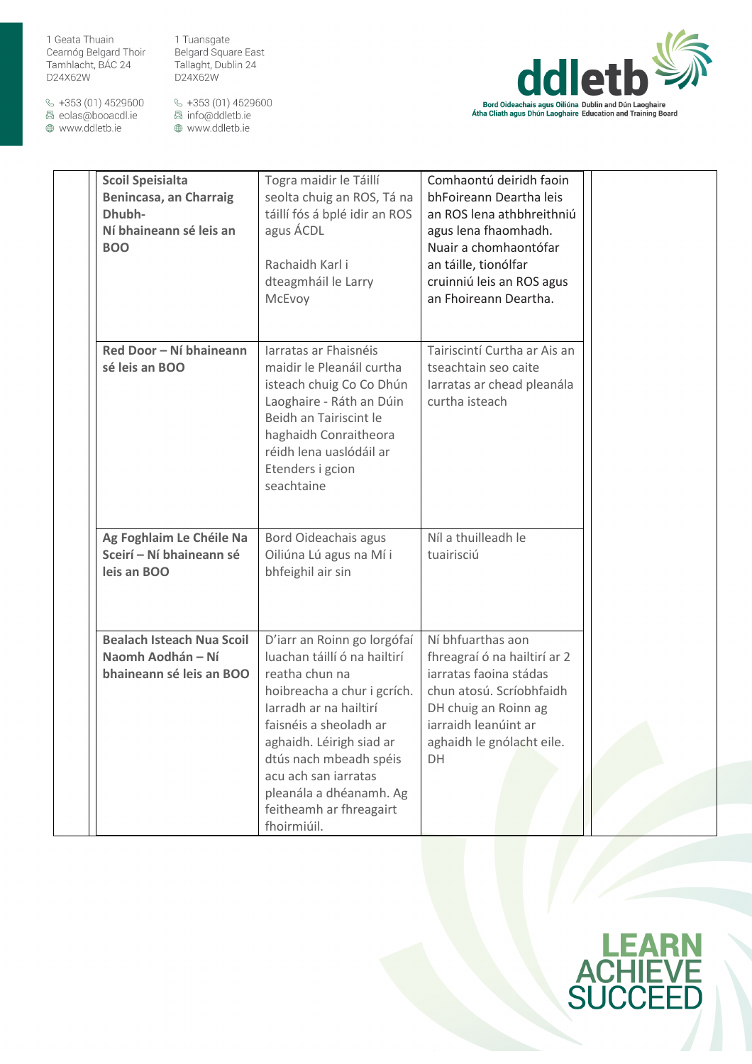1 Tuansgate Belgard Square East Tallaght, Dublin 24 D24X62W

 $\&$  +353 (01) 4529600 圆 eolas@booacdl.ie

www.ddletb.ie



| <b>Scoil Speisialta</b><br>Benincasa, an Charraig<br>Dhubh-<br>Ní bhaineann sé leis an<br><b>BOO</b> | Togra maidir le Táillí<br>seolta chuig an ROS, Tá na<br>táillí fós á bplé idir an ROS<br>agus ÁCDL<br>Rachaidh Karl i<br>dteagmháil le Larry<br>McEvoy                                                                                                                                                              | Comhaontú deiridh faoin<br>bhFoireann Deartha leis<br>an ROS lena athbhreithniú<br>agus lena fhaomhadh.<br>Nuair a chomhaontófar<br>an táille, tionólfar<br>cruinniú leis an ROS agus<br>an Fhoireann Deartha. |  |
|------------------------------------------------------------------------------------------------------|---------------------------------------------------------------------------------------------------------------------------------------------------------------------------------------------------------------------------------------------------------------------------------------------------------------------|----------------------------------------------------------------------------------------------------------------------------------------------------------------------------------------------------------------|--|
| Red Door - Ní bhaineann<br>sé leis an BOO                                                            | Iarratas ar Fhaisnéis<br>maidir le Pleanáil curtha<br>isteach chuig Co Co Dhún<br>Laoghaire - Ráth an Dúin<br>Beidh an Tairiscint le<br>haghaidh Conraitheora<br>réidh lena uaslódáil ar<br>Etenders i gcion<br>seachtaine                                                                                          | Tairiscintí Curtha ar Ais an<br>tseachtain seo caite<br>larratas ar chead pleanála<br>curtha isteach                                                                                                           |  |
| Ag Foghlaim Le Chéile Na<br>Sceirí - Ní bhaineann sé<br>leis an BOO                                  | Bord Oideachais agus<br>Oiliúna Lú agus na Mí i<br>bhfeighil air sin                                                                                                                                                                                                                                                | Níl a thuilleadh le<br>tuairisciú                                                                                                                                                                              |  |
| <b>Bealach Isteach Nua Scoil</b><br>Naomh Aodhán - Ní<br>bhaineann sé leis an BOO                    | D'iarr an Roinn go lorgófaí<br>luachan táillí ó na hailtirí<br>reatha chun na<br>hoibreacha a chur i gcrích.<br>Iarradh ar na hailtirí<br>faisnéis a sheoladh ar<br>aghaidh. Léirigh siad ar<br>dtús nach mbeadh spéis<br>acu ach san iarratas<br>pleanála a dhéanamh. Ag<br>feitheamh ar fhreagairt<br>fhoirmiúil. | Ní bhfuarthas aon<br>fhreagraí ó na hailtirí ar 2<br>iarratas faoina stádas<br>chun atosú. Scríobhfaidh<br>DH chuig an Roinn ag<br>iarraidh leanúint ar<br>aghaidh le gnólacht eile.<br>DH                     |  |

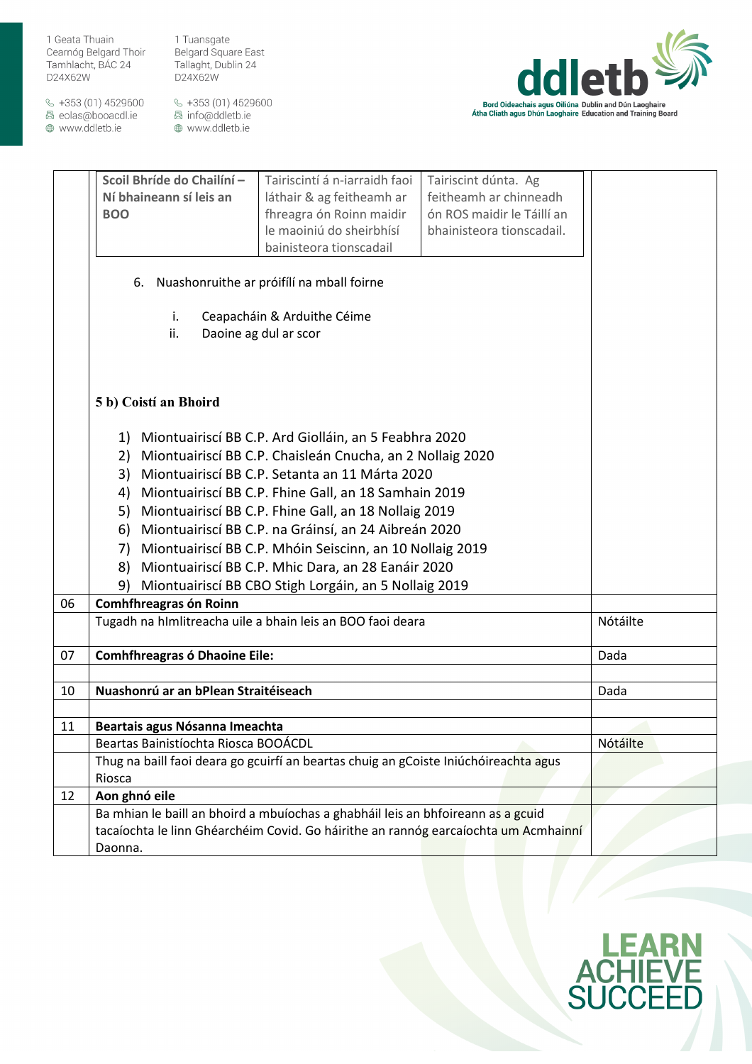1 Tuansgate Belgard Square East Tallaght, Dublin 24 D24X62W

 $\&$  +353 (01) 4529600 圆 eolas@booacdl.ie

www.ddletb.ie



|    | Scoil Bhríde do Chailíní -                                                           | Tairiscintí á n-iarraidh faoi | Tairiscint dúnta. Ag       |          |
|----|--------------------------------------------------------------------------------------|-------------------------------|----------------------------|----------|
|    | Ní bhaineann sí leis an                                                              | láthair & ag feitheamh ar     | feitheamh ar chinneadh     |          |
|    | <b>BOO</b>                                                                           | fhreagra ón Roinn maidir      | ón ROS maidir le Táillí an |          |
|    |                                                                                      | le maoiniú do sheirbhísí      | bhainisteora tionscadail.  |          |
|    |                                                                                      | bainisteora tionscadail       |                            |          |
|    |                                                                                      |                               |                            |          |
|    | 6. Nuashonruithe ar próifílí na mball foirne                                         |                               |                            |          |
|    | i.<br>Ceapacháin & Arduithe Céime                                                    |                               |                            |          |
|    | ii.<br>Daoine ag dul ar scor                                                         |                               |                            |          |
|    |                                                                                      |                               |                            |          |
|    |                                                                                      |                               |                            |          |
|    |                                                                                      |                               |                            |          |
|    | 5 b) Coistí an Bhoird                                                                |                               |                            |          |
|    |                                                                                      |                               |                            |          |
|    |                                                                                      |                               |                            |          |
|    | 1) Miontuairiscí BB C.P. Ard Giolláin, an 5 Feabhra 2020                             |                               |                            |          |
|    | 2) Miontuairiscí BB C.P. Chaisleán Cnucha, an 2 Nollaig 2020                         |                               |                            |          |
|    | 3) Miontuairiscí BB C.P. Setanta an 11 Márta 2020                                    |                               |                            |          |
|    | 4) Miontuairiscí BB C.P. Fhine Gall, an 18 Samhain 2019                              |                               |                            |          |
|    | Miontuairiscí BB C.P. Fhine Gall, an 18 Nollaig 2019<br>5)                           |                               |                            |          |
|    | 6) Miontuairiscí BB C.P. na Gráinsí, an 24 Aibreán 2020                              |                               |                            |          |
|    | 7) Miontuairiscí BB C.P. Mhóin Seiscinn, an 10 Nollaig 2019                          |                               |                            |          |
|    | 8) Miontuairiscí BB C.P. Mhic Dara, an 28 Eanáir 2020                                |                               |                            |          |
|    | 9)<br>Miontuairiscí BB CBO Stigh Lorgáin, an 5 Nollaig 2019                          |                               |                            |          |
| 06 | Comhfhreagras ón Roinn                                                               |                               |                            |          |
|    | Tugadh na hImlitreacha uile a bhain leis an BOO faoi deara                           |                               |                            | Nótáilte |
|    |                                                                                      |                               |                            |          |
| 07 | <b>Comhfhreagras ó Dhaoine Eile:</b>                                                 |                               |                            | Dada     |
|    |                                                                                      |                               |                            |          |
| 10 | Nuashonrú ar an bPlean Straitéiseach                                                 |                               |                            | Dada     |
|    |                                                                                      |                               |                            |          |
| 11 | Beartais agus Nósanna Imeachta                                                       |                               |                            |          |
|    | Beartas Bainistíochta Riosca BOOÁCDL                                                 |                               | Nótáilte                   |          |
|    | Thug na baill faoi deara go gcuirfí an beartas chuig an gCoiste Iniúchóireachta agus |                               |                            |          |
|    | Riosca                                                                               |                               |                            |          |
| 12 | Aon ghnó eile                                                                        |                               |                            |          |
|    | Ba mhian le baill an bhoird a mbuíochas a ghabháil leis an bhfoireann as a gcuid     |                               |                            |          |
|    | tacaíochta le linn Ghéarchéim Covid. Go háirithe an rannóg earcaíochta um Acmhainní  |                               |                            |          |
|    | Daonna.                                                                              |                               |                            |          |